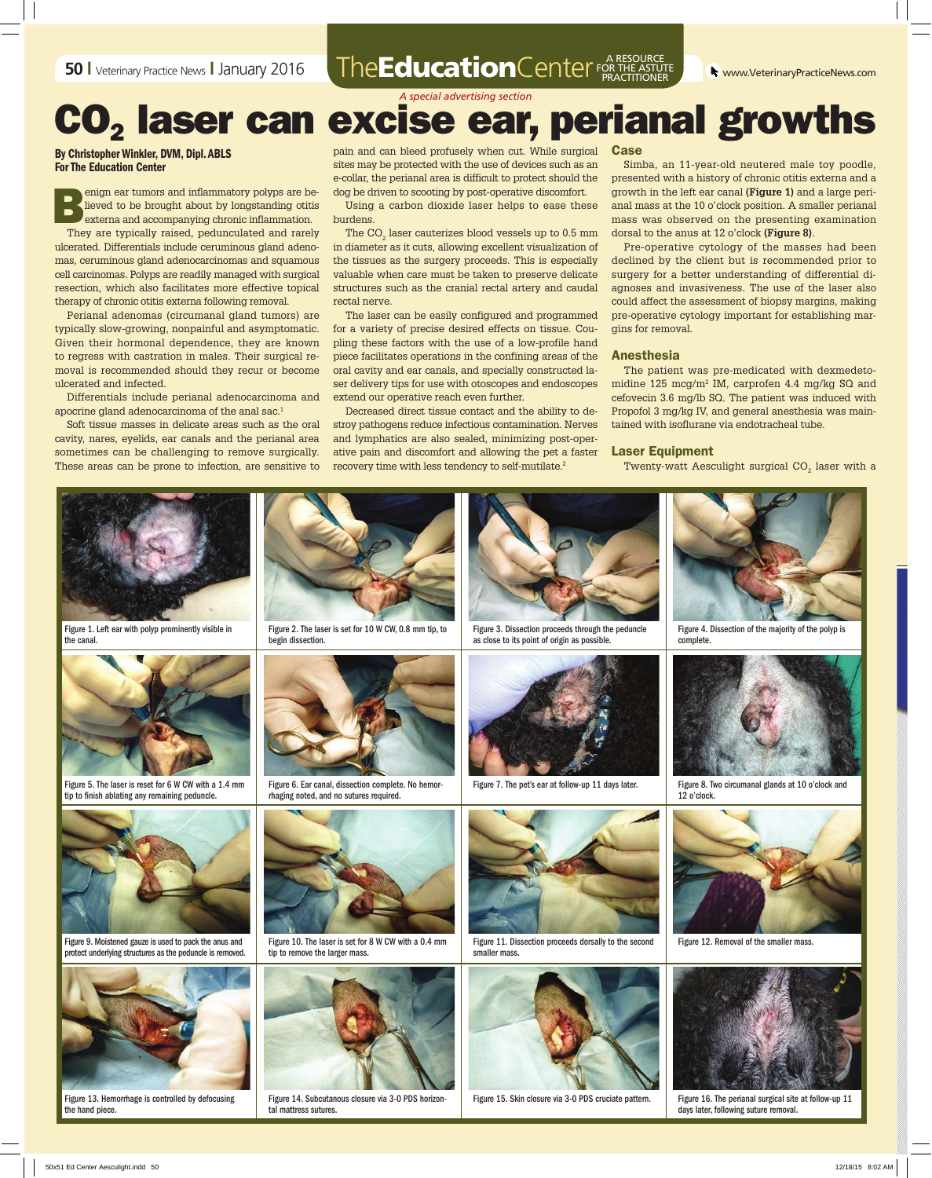#### **50 I** Veterinary Practice News **I** January 2016 The EducationCenter FOR THE ASTUT FOR THE ASTUTE PRACTITIONER

*A special advertising section*

# CO<sub>2</sub> laser can excise ear, perianal growths

By Christopher Winkler, DVM, Dipl. ABLS For The Education Center

enign ear tumors and inflammatory polyps are be-<br>lieved to be brought about by longstanding otitis<br>externa and accompanying chronic inflammation.<br>They are tuningly raised, podynamiated and rarely lieved to be brought about by longstanding otitis externa and accompanying chronic inflammation.

They are typically raised, pedunculated and rarely ulcerated. Differentials include ceruminous gland adenomas, ceruminous gland adenocarcinomas and squamous cell carcinomas. Polyps are readily managed with surgical resection, which also facilitates more effective topical therapy of chronic otitis externa following removal.

Perianal adenomas (circumanal gland tumors) are typically slow-growing, nonpainful and asymptomatic. Given their hormonal dependence, they are known to regress with castration in males. Their surgical removal is recommended should they recur or become ulcerated and infected.

Differentials include perianal adenocarcinoma and apocrine gland adenocarcinoma of the anal sac.1

Soft tissue masses in delicate areas such as the oral cavity, nares, eyelids, ear canals and the perianal area sometimes can be challenging to remove surgically. These areas can be prone to infection, are sensitive to pain and can bleed profusely when cut. While surgical sites may be protected with the use of devices such as an e-collar, the perianal area is difficult to protect should the dog be driven to scooting by post-operative discomfort.

Using a carbon dioxide laser helps to ease these burdens.

The CO $_{\textrm{\tiny{2}}}$  laser cauterizes blood vessels up to 0.5 mm in diameter as it cuts, allowing excellent visualization of the tissues as the surgery proceeds. This is especially valuable when care must be taken to preserve delicate structures such as the cranial rectal artery and caudal rectal nerve.

The laser can be easily configured and programmed for a variety of precise desired effects on tissue. Coupling these factors with the use of a low-profile hand piece facilitates operations in the confining areas of the oral cavity and ear canals, and specially constructed laser delivery tips for use with otoscopes and endoscopes extend our operative reach even further.

Decreased direct tissue contact and the ability to destroy pathogens reduce infectious contamination. Nerves and lymphatics are also sealed, minimizing post-operative pain and discomfort and allowing the pet a faster recovery time with less tendency to self-mutilate.2

#### Case

Simba, an 11-year-old neutered male toy poodle, presented with a history of chronic otitis externa and a growth in the left ear canal **(Figure 1)** and a large perianal mass at the 10 o'clock position. A smaller perianal mass was observed on the presenting examination dorsal to the anus at 12 o'clock **(Figure 8)**.

Pre-operative cytology of the masses had been declined by the client but is recommended prior to surgery for a better understanding of differential diagnoses and invasiveness. The use of the laser also could affect the assessment of biopsy margins, making pre-operative cytology important for establishing margins for removal.

#### Anesthesia

The patient was pre-medicated with dexmedetomidine 125 mcg/m2 IM, carprofen 4.4 mg/kg SQ and cefovecin 3.6 mg/lb SQ. The patient was induced with Propofol 3 mg/kg IV, and general anesthesia was maintained with isoflurane via endotracheal tube.

#### Laser Equipment

Twenty-watt Aesculight surgical  $\mathrm{CO}_2^+$  laser with a



Figure 13. Hemorrhage is controlled by defocusing the hand piece.



Figure 14. Subcutanous closure via 3-0 PDS horizontal mattress sutures.



Figure 15. Skin closure via 3-0 PDS cruciate pattern. Figure 16. The perianal surgical site at follow-up 11 days later, following suture removal.